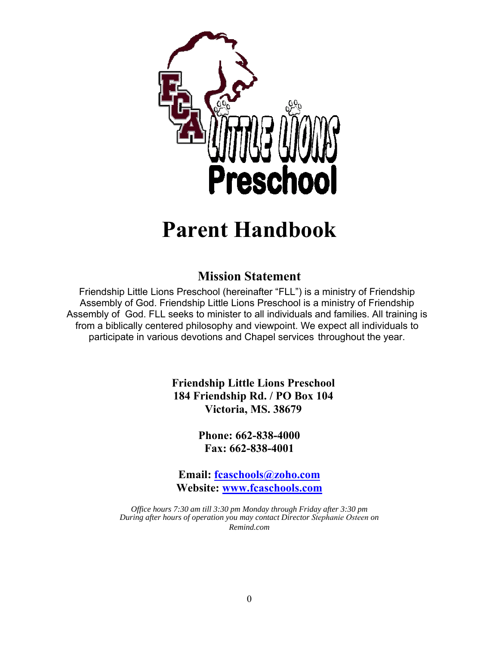

# **Parent Handbook**

# **Mission Statement**

Friendship Little Lions Preschool (hereinafter "FLL") is a ministry of Friendship Assembly of God. Friendship Little Lions Preschool is a ministry of Friendship Assembly of God. FLL seeks to minister to all individuals and families. All training is from a biblically centered philosophy and viewpoint. We expect all individuals to participate in various devotions and Chapel services throughout the year.

> **Friendship Little Lions Preschool 184 Friendship Rd. / PO Box 104 Victoria, MS. 38679**

> > **Phone: 662-838-4000 Fax: 662-838-4001**

**Email: fcaschools@zoho.com Website: www.fcaschools.com**

*Office hours 7:30 am till 3:30 pm Monday through Friday after 3:30 pm During after hours of operation you may contact Director Stephanie Osteen on Remind.com*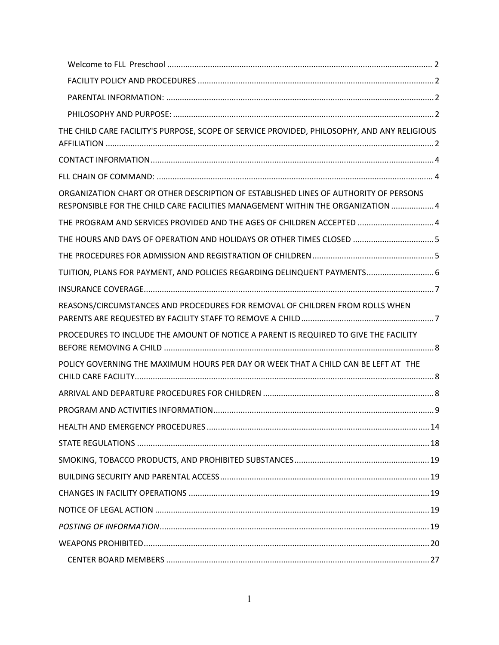| THE CHILD CARE FACILITY'S PURPOSE, SCOPE OF SERVICE PROVIDED, PHILOSOPHY, AND ANY RELIGIOUS                                                                             |  |
|-------------------------------------------------------------------------------------------------------------------------------------------------------------------------|--|
|                                                                                                                                                                         |  |
|                                                                                                                                                                         |  |
| ORGANIZATION CHART OR OTHER DESCRIPTION OF ESTABLISHED LINES OF AUTHORITY OF PERSONS<br>RESPONSIBLE FOR THE CHILD CARE FACILITIES MANAGEMENT WITHIN THE ORGANIZATION  4 |  |
| THE PROGRAM AND SERVICES PROVIDED AND THE AGES OF CHILDREN ACCEPTED  4                                                                                                  |  |
| THE HOURS AND DAYS OF OPERATION AND HOLIDAYS OR OTHER TIMES CLOSED  5                                                                                                   |  |
|                                                                                                                                                                         |  |
| TUITION, PLANS FOR PAYMENT, AND POLICIES REGARDING DELINQUENT PAYMENTS 6                                                                                                |  |
|                                                                                                                                                                         |  |
| REASONS/CIRCUMSTANCES AND PROCEDURES FOR REMOVAL OF CHILDREN FROM ROLLS WHEN                                                                                            |  |
| PROCEDURES TO INCLUDE THE AMOUNT OF NOTICE A PARENT IS REQUIRED TO GIVE THE FACILITY                                                                                    |  |
| POLICY GOVERNING THE MAXIMUM HOURS PER DAY OR WEEK THAT A CHILD CAN BE LEFT AT THE                                                                                      |  |
|                                                                                                                                                                         |  |
|                                                                                                                                                                         |  |
|                                                                                                                                                                         |  |
|                                                                                                                                                                         |  |
|                                                                                                                                                                         |  |
|                                                                                                                                                                         |  |
|                                                                                                                                                                         |  |
|                                                                                                                                                                         |  |
|                                                                                                                                                                         |  |
|                                                                                                                                                                         |  |
|                                                                                                                                                                         |  |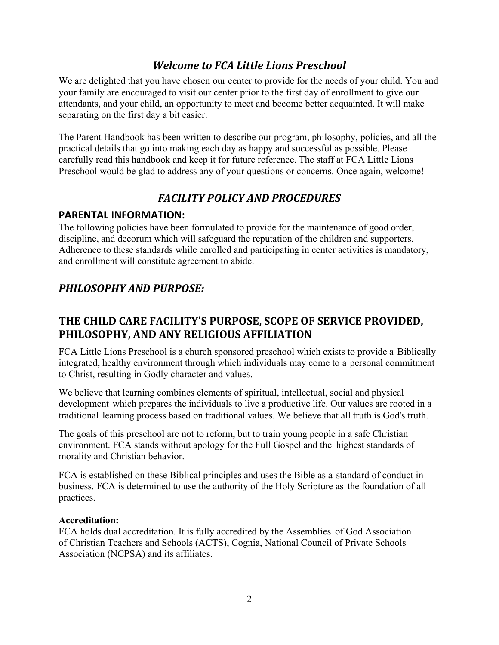# *Welcome to* $\mathbf{F}\mathbf{\hat{E}}$ *Little Lions Preschool*

We are delighted that you have chosen our center to provide for the needs of your child. You and your family are encouraged to visit our center prior to the first day of enrollment to give our attendants, and your child, an opportunity to meet and become better acquainted. It will make separating on the first day a bit easier.

The Parent Handbook has been written to describe our program, philosophy, policies, and all the practical details that go into making each day as happy and successful as possible. Please carefully read this handbook and keep it for future reference. The staff at Friendship Little Lions Preschool would be glad to address any of your questions or concerns. Once again, welcome!

# *FACILITY POLICY AND PROCEDURES*

## **PARENTAL INFORMATION:**

The following policies have been formulated to provide for the maintenance of good order, discipline, and decorum which will safeguard the reputation of the children and supporters. Adherence to these standards while enrolled and participating in center activities is mandatory, and enrollment will constitute agreement to abide.

# *PHILOSOPHY AND PURPOSE:*

# **THE CHILD CARE FACILITY'S PURPOSE, SCOPE OF SERVICE PROVIDED, PHILOSOPHY, AND ANY RELIGIOUS AFFILIATION**

Friendship Little Lions Preschool is a church sponsored preschool which exists to provide a Biblically integrated, healthy environment through which individuals may come to a personal commitment to Christ, resulting in Godly character and values.

We believe that learning combines elements of spiritual, intellectual, social and physical development which prepares the individuals to live a productive life. Our values are rooted in a traditional learning process based on traditional values. We believe that all truth is God's truth.

The goals of this preschool are not to reform, but to train young people in a safe Christian environment. FLL stands without apology for the Full Gospel and the highest standards of morality and Christian behavior.

FCA is established on these Biblical principles and uses the Bible as a standard of conduct in business. FCA is determined to use the authority of the Holy Scripture as the foundation of all practices.

#### **Accreditation:**

FCA holds dual accreditation. It is fully accredited by the Assemblies of God Association of Christian Teachers and Schools (ACTS), Cognia, National Council of Private Schools Association (NCPSA) and its affiliates.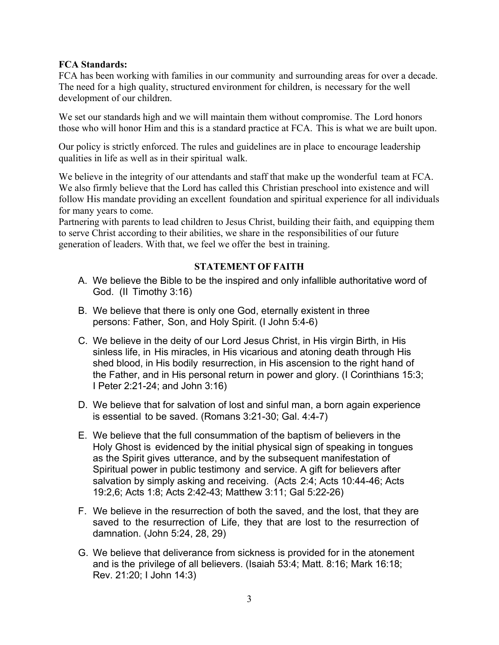#### **FCA Standards:**

FCA has been working with families in our community and surrounding areas for over a decade. The need for a high quality, structured environment for children, is necessary for the well development of our children.

We set our standards high and we will maintain them without compromise. The Lord honors those who will honor Him and this is a standard practice at FCA. This is what we are built upon.

Our policy is strictly enforced. The rules and guidelines are in place to encourage leadership qualities in life as well as in their spiritual walk.

We believe in the integrity of our attendants and staff that make up the wonderful team at FCA. We also firmly believe that the Lord has called this Christian preschool into existence and will follow His mandate providing an excellent foundation and spiritual experience for all individuals for many years to come.

Partnering with parents to lead children to Jesus Christ, building their faith, and equipping them to serve Christ according to their abilities, we share in the responsibilities of our future generation of leaders. With that, we feel we offer the best in training.

#### **STATEMENT OF FAITH**

- A. We believe the Bible to be the inspired and only infallible authoritative word of God. (II Timothy 3:16)
- B. We believe that there is only one God, eternally existent in three persons: Father, Son, and Holy Spirit. (I John 5:4-6)
- C. We believe in the deity of our Lord Jesus Christ, in His virgin Birth, in His sinless life, in His miracles, in His vicarious and atoning death through His shed blood, in His bodily resurrection, in His ascension to the right hand of the Father, and in His personal return in power and glory. (I Corinthians 15:3; I Peter 2:21-24; and John 3:16)
- D. We believe that for salvation of lost and sinful man, a born again experience is essential to be saved. (Romans 3:21-30; Gal. 4:4-7)
- E. We believe that the full consummation of the baptism of believers in the Holy Ghost is evidenced by the initial physical sign of speaking in tongues as the Spirit gives utterance, and by the subsequent manifestation of Spiritual power in public testimony and service. A gift for believers after salvation by simply asking and receiving. (Acts 2:4; Acts 10:44-46; Acts 19:2,6; Acts 1:8; Acts 2:42-43; Matthew 3:11; Gal 5:22-26)
- F. We believe in the resurrection of both the saved, and the lost, that they are saved to the resurrection of Life, they that are lost to the resurrection of damnation. (John 5:24, 28, 29)
- G. We believe that deliverance from sickness is provided for in the atonement and is the privilege of all believers. (Isaiah 53:4; Matt. 8:16; Mark 16:18; Rev. 21:20; I John 14:3)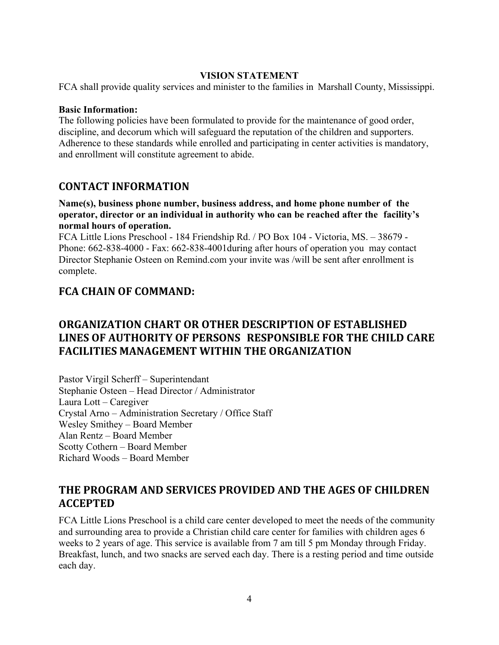#### **VISION STATEMENT**

FCA shall provide quality services and minister to the families in Marshall County, Mississippi.

#### **Basic Information:**

The following policies have been formulated to provide for the maintenance of good order, discipline, and decorum which will safeguard the reputation of the children and supporters. Adherence to these standards while enrolled and participating in center activities is mandatory, and enrollment will constitute agreement to abide.

#### **CONTACT INFORMATION**

**Name(s), business phone number, business address, and home phone number of the operator, director or an individual in authority who can be reached after the facility's normal hours of operation.** 

FCA Little Lions Preschool - 184 Friendship Rd. / PO Box 104 - Victoria, MS. – 38679 - Phone: 662-838-4000 - Fax: 662-838-4001during after hours of operation you may contact Director Stephanie Osteen on Remind.com your invite was /will be sent after enrollment is complete.

## **FCA CHAIN OF COMMAND:**

# **ORGANIZATION CHART OR OTHER DESCRIPTION OF ESTABLISHED LINES OF AUTHORITY OF PERSONS RESPONSIBLE FOR THE CHILD CARE FACILITIES MANAGEMENT WITHIN THE ORGANIZATION**

Pastor Virgil Scherff – Superintendant Stephanie Osteen – Head Director / Administrator Laura Lott – Caregiver Crystal Arno – Administration Secretary / Office Staff Wesley Smithey – Board Member Alan Rentz – Board Member Scotty Cothern – Board Member Richard Woods – Board Member

# **THE PROGRAM AND SERVICES PROVIDED AND THE AGES OF CHILDREN ACCEPTED**

FCA Little Lions Preschool is a child care center developed to meet the needs of the community and surrounding area to provide a Christian child care center for families with children ages 6 weeks to 2 years of age. This service is available from 7 am till 5 pm Monday through Friday. Breakfast, lunch, and two snacks are served each day. There is a resting period and time outside each day.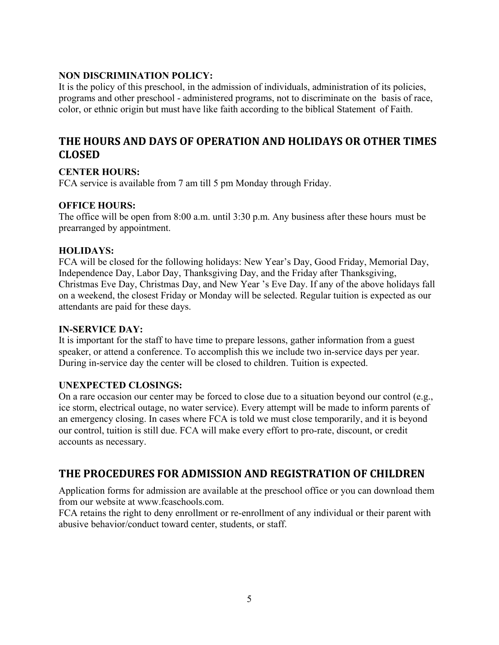#### **NON DISCRIMINATION POLICY:**

It is the policy of this preschool, in the admission of individuals, administration of its policies, programs and other preschool - administered programs, not to discriminate on the basis of race, color, or ethnic origin but must have like faith according to the biblical Statement of Faith.

# **THE HOURS AND DAYS OF OPERATION AND HOLIDAYS OR OTHER TIMES CLOSED**

#### **CENTER HOURS:**

FCA service is available from 7 am till 5 pm Monday through Friday.

#### **OFFICE HOURS:**

The office will be open from 8:00 a.m. until 3:30 p.m. Any business after these hours must be prearranged by appointment.

#### **HOLIDAYS:**

FCA will be closed for the following holidays: New Year's Day, Good Friday, Memorial Day, Independence Day, Labor Day, Thanksgiving Day, and the Friday after Thanksgiving, Christmas Eve Day, Christmas Day, and New Year 's Eve Day. If any of the above holidays fall on a weekend, the closest Friday or Monday will be selected. Regular tuition is expected as our attendants are paid for these days.

#### **IN-SERVICE DAY:**

It is important for the staff to have time to prepare lessons, gather information from a guest speaker, or attend a conference. To accomplish this we include two in-service days per year. During in-service day the center will be closed to children. Tuition is expected.

#### **UNEXPECTED CLOSINGS:**

On a rare occasion our center may be forced to close due to a situation beyond our control (e.g., ice storm, electrical outage, no water service). Every attempt will be made to inform parents of an emergency closing. In cases where FCA is told we must close temporarily, and it is beyond our control, tuition is still due. FCA will make every effort to pro-rate, discount, or credit accounts as necessary.

# **THE PROCEDURES FOR ADMISSION AND REGISTRATION OF CHILDREN**

Application forms for admission are available at the preschool office or you can download them from our website at www.fcaschools.com.

FCA retains the right to deny enrollment or re-enrollment of any individual or their parent with abusive behavior/conduct toward center, students, or staff.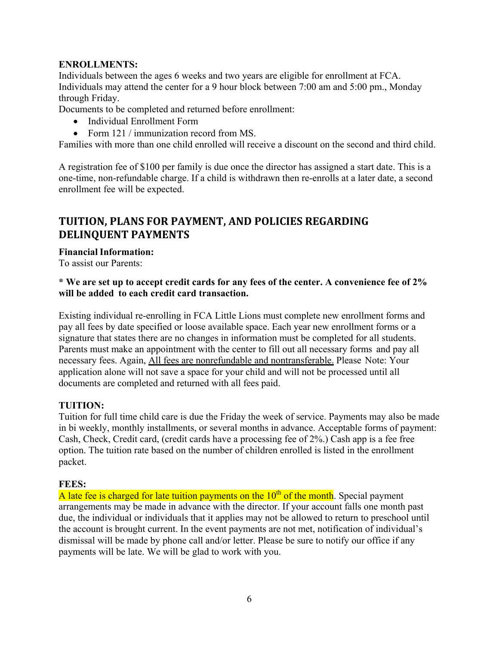#### **ENROLLMENTS:**

Individuals between the ages 6 weeks and two years are eligible for enrollment at FCA. Individuals may attend the center for a 9 hour block between 7:00 am and 5:00 pm., Monday through Friday.

Documents to be completed and returned before enrollment:

- Individual Enrollment Form
- Form 121 / immunization record from MS.

Families with more than one child enrolled will receive a discount on the second and third child.

A registration fee of \$100 per family is due once the director has assigned a start date. This is a one-time, non-refundable charge. If a child is withdrawn then re-enrolls at a later date, a second enrollment fee will be expected.

# **TUITION, PLANS FOR PAYMENT, AND POLICIES REGARDING DELINQUENT PAYMENTS**

#### **Financial Information:**

To assist our Parents:

#### **\* We are set up to accept credit cards for any fees of the center. A convenience fee of 2% will be added to each credit card transaction.**

Existing individual re-enrolling in FCA Little Lions must complete new enrollment forms and pay all fees by date specified or loose available space. Each year new enrollment forms or a signature that states there are no changes in information must be completed for all students. Parents must make an appointment with the center to fill out all necessary forms and pay all necessary fees. Again, All fees are nonrefundable and nontransferable. Please Note: Your application alone will not save a space for your child and will not be processed until all documents are completed and returned with all fees paid.

#### **TUITION:**

Tuition for full time child care is due the Friday the week of service. Payments may also be made in bi weekly, monthly installments, or several months in advance. Acceptable forms of payment: Cash, Check, Credit card, (credit cards have a processing fee of 2%.) Cash app is a fee free option. The tuition rate based on the number of children enrolled is listed in the enrollment packet.

#### **FEES:**

A late fee is charged for late tuition payments on the  $10<sup>th</sup>$  of the month. Special payment arrangements may be made in advance with the director. If your account falls one month past due, the individual or individuals that it applies may not be allowed to return to preschool until the account is brought current. In the event payments are not met, notification of individual's dismissal will be made by phone call and/or letter. Please be sure to notify our office if any payments will be late. We will be glad to work with you.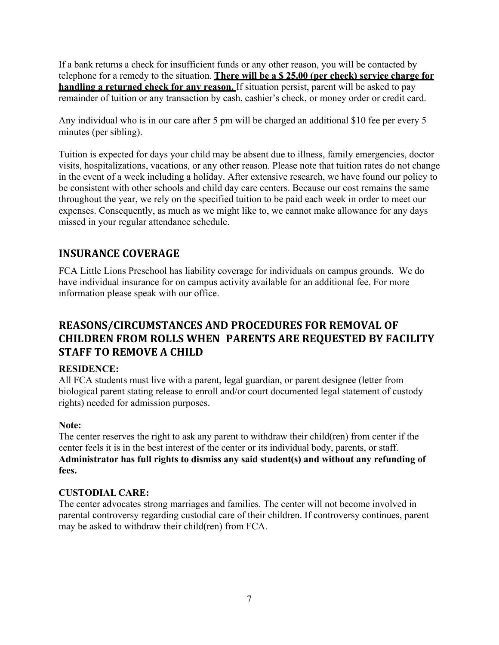If a bank returns a check for insufficient funds or any other reason, you will be contacted by telephone for a remedy to the situation. **There will be a \$ 25.00 (per check) service charge for handling a returned check for any reason.** If situation persist, parent will be asked to pay remainder of tuition or any transaction by cash, cashier's check, or money order or credit card.

Any individual who is in our care after 5 pm will be charged an additional \$10 fee per every 5 minutes (per sibling).

Tuition is expected for days your child may be absent due to illness, family emergencies, doctor visits, hospitalizations, vacations, or any other reason. Please note that tuition rates do not change in the event of a week including a holiday. After extensive research, we have found our policy to be consistent with other schools and child day care centers. Because our cost remains the same throughout the year, we rely on the specified tuition to be paid each week in order to meet our expenses. Consequently, as much as we might like to, we cannot make allowance for any days missed in your regular attendance schedule.

# **INSURANCE COVERAGE**

FCA Little Lions Preschool has liability coverage for individuals on campus grounds. We do have individual insurance for on campus activity available for an additional fee. For more information please speak with our office.

# **REASONS/CIRCUMSTANCES AND PROCEDURES FOR REMOVAL OF CHILDREN FROM ROLLS WHEN PARENTS ARE REQUESTED BY FACILITY STAFF TO REMOVE A CHILD**

#### **RESIDENCE:**

All FCA students must live with a parent, legal guardian, or parent designee (letter from biological parent stating release to enroll and/or court documented legal statement of custody rights) needed for admission purposes.

#### **Note:**

The center reserves the right to ask any parent to withdraw their child(ren) from center if the center feels it is in the best interest of the center or its individual body, parents, or staff. **Administrator has full rights to dismiss any said student(s) and without any refunding of fees.**

#### **CUSTODIAL CARE:**

The center advocates strong marriages and families. The center will not become involved in parental controversy regarding custodial care of their children. If controversy continues, parent may be asked to withdraw their child(ren) from FCA.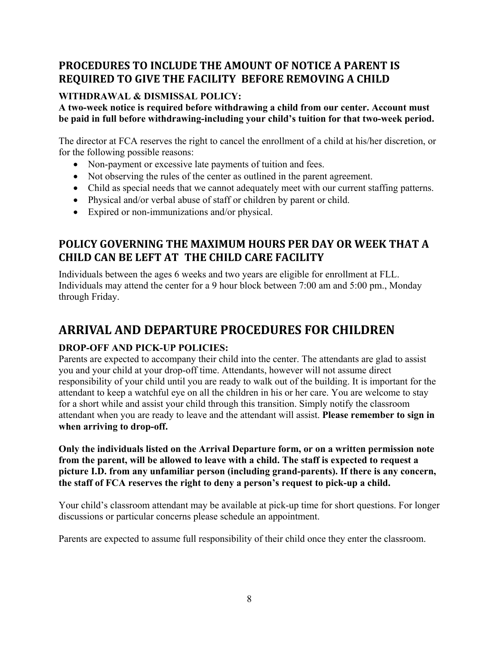# **PROCEDURES TO INCLUDE THE AMOUNT OF NOTICE A PARENT IS REQUIRED TO GIVE THE FACILITY BEFORE REMOVING A CHILD**

#### **WITHDRAWAL & DISMISSAL POLICY:**

**A two-week notice is required before withdrawing a child from our center. Account must be paid in full before withdrawing-including your child's tuition for that two-week period.** 

The director at FCA reserves the right to cancel the enrollment of a child at his/her discretion, or for the following possible reasons:

- Non-payment or excessive late payments of tuition and fees.
- Not observing the rules of the center as outlined in the parent agreement.
- Child as special needs that we cannot adequately meet with our current staffing patterns.
- Physical and/or verbal abuse of staff or children by parent or child.
- Expired or non-immunizations and/or physical.

# **POLICY GOVERNING THE MAXIMUM HOURS PER DAY OR WEEK THAT A CHILD CAN BE LEFT AT THE CHILD CARE FACILITY**

Individuals between the ages 6 weeks and two years are eligible for enrollment at FLL. Individuals may attend the center for a 9 hour block between 7:00 am and 5:00 pm., Monday through Friday.

# **ARRIVAL AND DEPARTURE PROCEDURES FOR CHILDREN**

#### **DROP-OFF AND PICK-UP POLICIES:**

Parents are expected to accompany their child into the center. The attendants are glad to assist you and your child at your drop-off time. Attendants, however will not assume direct responsibility of your child until you are ready to walk out of the building. It is important for the attendant to keep a watchful eye on all the children in his or her care. You are welcome to stay for a short while and assist your child through this transition. Simply notify the classroom attendant when you are ready to leave and the attendant will assist. **Please remember to sign in when arriving to drop-off.**

**Only the individuals listed on the Arrival Departure form, or on a written permission note from the parent, will be allowed to leave with a child. The staff is expected to request a picture I.D. from any unfamiliar person (including grand-parents). If there is any concern, the staff of FCA reserves the right to deny a person's request to pick-up a child.** 

Your child's classroom attendant may be available at pick-up time for short questions. For longer discussions or particular concerns please schedule an appointment.

Parents are expected to assume full responsibility of their child once they enter the classroom.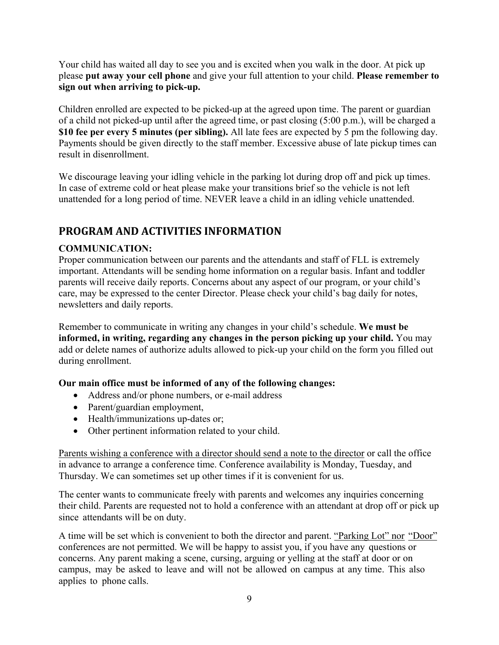Your child has waited all day to see you and is excited when you walk in the door. At pick up please **put away your cell phone** and give your full attention to your child. **Please remember to sign out when arriving to pick-up.** 

Children enrolled are expected to be picked-up at the agreed upon time. The parent or guardian of a child not picked-up until after the agreed time, or past closing (5:00 p.m.), will be charged a **\$10 fee per every 5 minutes (per sibling).** All late fees are expected by 5 pm the following day. Payments should be given directly to the staff member. Excessive abuse of late pickup times can result in disenrollment.

We discourage leaving your idling vehicle in the parking lot during drop off and pick up times. In case of extreme cold or heat please make your transitions brief so the vehicle is not left unattended for a long period of time. NEVER leave a child in an idling vehicle unattended.

# **PROGRAM AND ACTIVITIES INFORMATION**

#### **COMMUNICATION:**

Proper communication between our parents and the attendants and staff of FLL is extremely important. Attendants will be sending home information on a regular basis. Infant and toddler parents will receive daily reports. Concerns about any aspect of our program, or your child's care, may be expressed to the center Director. Please check your child's bag daily for notes, newsletters and daily reports.

Remember to communicate in writing any changes in your child's schedule. **We must be informed, in writing, regarding any changes in the person picking up your child.** You may add or delete names of authorize adults allowed to pick-up your child on the form you filled out during enrollment.

#### **Our main office must be informed of any of the following changes:**

- Address and/or phone numbers, or e-mail address
- Parent/guardian employment,
- Health/immunizations up-dates or;
- Other pertinent information related to your child.

Parents wishing a conference with a director should send a note to the director or call the office in advance to arrange a conference time. Conference availability is Monday, Tuesday, and Thursday. We can sometimes set up other times if it is convenient for us.

The center wants to communicate freely with parents and welcomes any inquiries concerning their child. Parents are requested not to hold a conference with an attendant at drop off or pick up since attendants will be on duty.

A time will be set which is convenient to both the director and parent. "Parking Lot" nor "Door" conferences are not permitted. We will be happy to assist you, if you have any questions or concerns. Any parent making a scene, cursing, arguing or yelling at the staff at door or on campus, may be asked to leave and will not be allowed on campus at any time. This also applies to phone calls.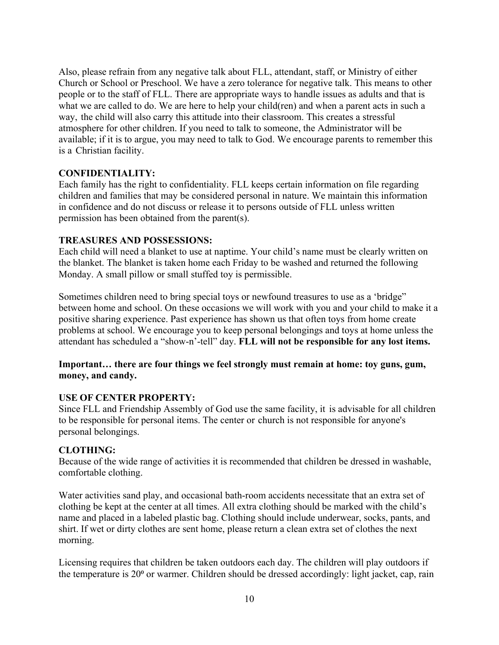Also, please refrain from any negative talk about FLL, attendant, staff, or Ministry of either Church or School or Preschool. We have a zero tolerance for negative talk. This means to other people or to the staff of FLL. There are appropriate ways to handle issues as adults and that is what we are called to do. We are here to help your child(ren) and when a parent acts in such a way, the child will also carry this attitude into their classroom. This creates a stressful atmosphere for other children. If you need to talk to someone, the Administrator will be available; if it is to argue, you may need to talk to God. We encourage parents to remember this is a Christian facility.

#### **CONFIDENTIALITY:**

Each family has the right to confidentiality. FLL keeps certain information on file regarding children and families that may be considered personal in nature. We maintain this information in confidence and do not discuss or release it to persons outside of FLL unless written permission has been obtained from the parent(s).

#### **TREASURES AND POSSESSIONS:**

Each child will need a blanket to use at naptime. Your child's name must be clearly written on the blanket. The blanket is taken home each Friday to be washed and returned the following Monday. A small pillow or small stuffed toy is permissible.

Sometimes children need to bring special toys or newfound treasures to use as a 'bridge" between home and school. On these occasions we will work with you and your child to make it a positive sharing experience. Past experience has shown us that often toys from home create problems at school. We encourage you to keep personal belongings and toys at home unless the attendant has scheduled a "show-n'-tell" day. **FLL will not be responsible for any lost items.**

#### **Important… there are four things we feel strongly must remain at home: toy guns, gum, money, and candy.**

#### **USE OF CENTER PROPERTY:**

Since FLL and Friendship Assembly of God use the same facility, it is advisable for all children to be responsible for personal items. The center or church is not responsible for anyone's personal belongings.

#### **CLOTHING:**

Because of the wide range of activities it is recommended that children be dressed in washable, comfortable clothing.

Water activities sand play, and occasional bath-room accidents necessitate that an extra set of clothing be kept at the center at all times. All extra clothing should be marked with the child's name and placed in a labeled plastic bag. Clothing should include underwear, socks, pants, and shirt. If wet or dirty clothes are sent home, please return a clean extra set of clothes the next morning.

Licensing requires that children be taken outdoors each day. The children will play outdoors if the temperature is 20<sup>°</sup> or warmer. Children should be dressed accordingly: light jacket, cap, rain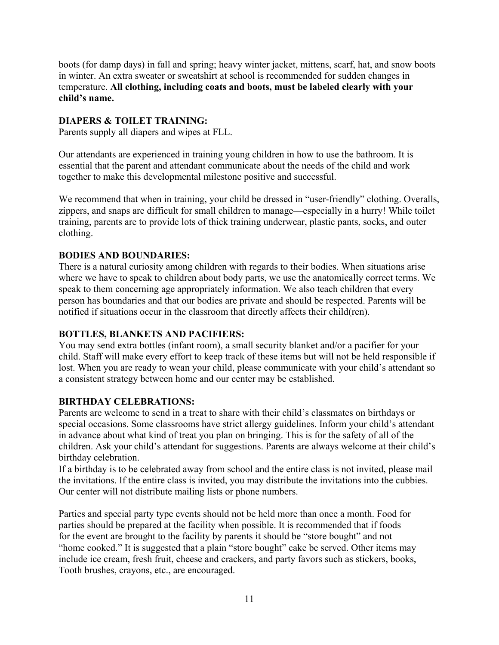boots (for damp days) in fall and spring; heavy winter jacket, mittens, scarf, hat, and snow boots in winter. An extra sweater or sweatshirt at school is recommended for sudden changes in temperature. **All clothing, including coats and boots, must be labeled clearly with your child's name.** 

#### **DIAPERS & TOILET TRAINING:**

Parents supply all diapers and wipes at FLL.

Our attendants are experienced in training young children in how to use the bathroom. It is essential that the parent and attendant communicate about the needs of the child and work together to make this developmental milestone positive and successful.

We recommend that when in training, your child be dressed in "user-friendly" clothing. Overalls, zippers, and snaps are difficult for small children to manage—especially in a hurry! While toilet training, parents are to provide lots of thick training underwear, plastic pants, socks, and outer clothing.

#### **BODIES AND BOUNDARIES:**

There is a natural curiosity among children with regards to their bodies. When situations arise where we have to speak to children about body parts, we use the anatomically correct terms. We speak to them concerning age appropriately information. We also teach children that every person has boundaries and that our bodies are private and should be respected. Parents will be notified if situations occur in the classroom that directly affects their child(ren).

#### **BOTTLES, BLANKETS AND PACIFIERS:**

You may send extra bottles (infant room), a small security blanket and/or a pacifier for your child. Staff will make every effort to keep track of these items but will not be held responsible if lost. When you are ready to wean your child, please communicate with your child's attendant so a consistent strategy between home and our center may be established.

#### **BIRTHDAY CELEBRATIONS:**

Parents are welcome to send in a treat to share with their child's classmates on birthdays or special occasions. Some classrooms have strict allergy guidelines. Inform your child's attendant in advance about what kind of treat you plan on bringing. This is for the safety of all of the children. Ask your child's attendant for suggestions. Parents are always welcome at their child's birthday celebration.

If a birthday is to be celebrated away from school and the entire class is not invited, please mail the invitations. If the entire class is invited, you may distribute the invitations into the cubbies. Our center will not distribute mailing lists or phone numbers.

Parties and special party type events should not be held more than once a month. Food for parties should be prepared at the facility when possible. It is recommended that if foods for the event are brought to the facility by parents it should be "store bought" and not "home cooked." It is suggested that a plain "store bought" cake be served. Other items may include ice cream, fresh fruit, cheese and crackers, and party favors such as stickers, books, Tooth brushes, crayons, etc., are encouraged.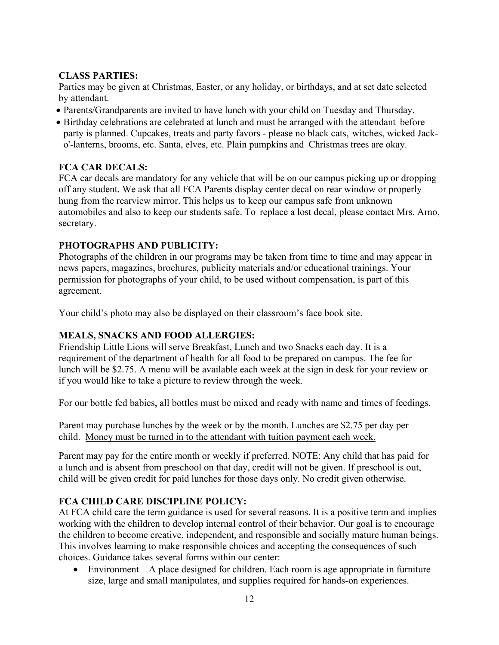#### **CLASS PARTIES:**

Parties may be given at Christmas, Easter, or any holiday, or birthdays, and at set date selected by attendant.

- Parents/Grandparents are invited to have lunch with your child on Tuesday and Thursday.
- Birthday celebrations are celebrated at lunch and must be arranged with the attendant before party is planned. Cupcakes, treats and party favors - please no black cats, witches, wicked Jacko'-lanterns, brooms, etc. Santa, elves, etc. Plain pumpkins and Christmas trees are okay.

#### **FCA CAR DECALS:**

FCA car decals are mandatory for any vehicle that will be on our campus picking up or dropping off any student. We ask that all FCA Parents display center decal on rear window or properly hung from the rearview mirror. This helps us to keep our campus safe from unknown automobiles and also to keep our students safe. To replace a lost decal, please contact Mrs. Arno, secretary.

#### **PHOTOGRAPHS AND PUBLICITY:**

Photographs of the children in our programs may be taken from time to time and may appear in news papers, magazines, brochures, publicity materials and/or educational trainings. Your permission for photographs of your child, to be used without compensation, is part of this agreement.

Your child's photo may also be displayed on their classroom's face book site.

#### **MEALS, SNACKS AND FOOD ALLERGIES:**

Friendship Little Lions will serve Breakfast, Lunch and two Snacks each day. It is a requirement of the department of health for all food to be prepared on campus. The fee for lunch will be \$2.75. A menu will be available each week at the sign in desk for your review or if you would like to take a picture to review through the week.

For our bottle fed babies, all bottles must be mixed and ready with name and times of feedings.

Parent may purchase lunches by the week or by the month. Lunches are \$2.75 per day per child. Money must be turned in to the attendant with tuition payment each week.

Parent may pay for the entire month or weekly if preferred. NOTE: Any child that has paid for a lunch and is absent from preschool on that day, credit will not be given. If preschool is out, child will be given credit for paid lunches for those days only. No credit given otherwise.

#### **FCA CHILD CARE DISCIPLINE POLICY:**

At FCA child care the term guidance is used for several reasons. It is a positive term and implies working with the children to develop internal control of their behavior. Our goal is to encourage the children to become creative, independent, and responsible and socially mature human beings. This involves learning to make responsible choices and accepting the consequences of such choices. Guidance takes several forms within our center:

 $\bullet$  Environment – A place designed for children. Each room is age appropriate in furniture size, large and small manipulates, and supplies required for hands-on experiences.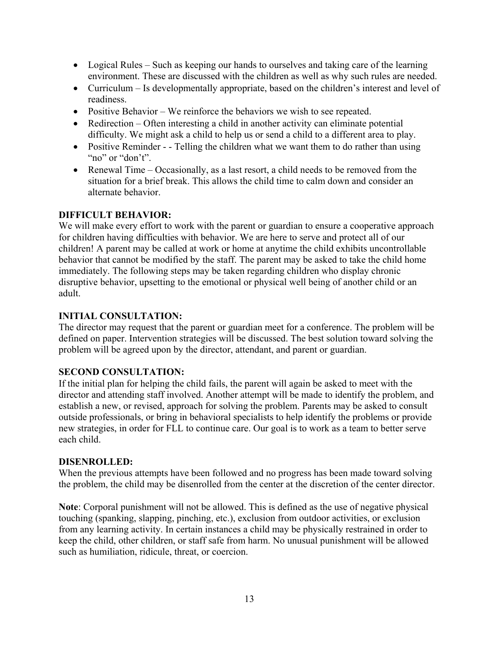- Logical Rules Such as keeping our hands to ourselves and taking care of the learning environment. These are discussed with the children as well as why such rules are needed.
- Curriculum Is developmentally appropriate, based on the children's interest and level of readiness.
- Positive Behavior We reinforce the behaviors we wish to see repeated.
- Redirection Often interesting a child in another activity can eliminate potential difficulty. We might ask a child to help us or send a child to a different area to play.
- Positive Reminder - Telling the children what we want them to do rather than using "no" or "don't".
- Renewal Time Occasionally, as a last resort, a child needs to be removed from the situation for a brief break. This allows the child time to calm down and consider an alternate behavior.

#### **DIFFICULT BEHAVIOR:**

We will make every effort to work with the parent or guardian to ensure a cooperative approach for children having difficulties with behavior. We are here to serve and protect all of our children! A parent may be called at work or home at anytime the child exhibits uncontrollable behavior that cannot be modified by the staff. The parent may be asked to take the child home immediately. The following steps may be taken regarding children who display chronic disruptive behavior, upsetting to the emotional or physical well being of another child or an adult.

#### **INITIAL CONSULTATION:**

The director may request that the parent or guardian meet for a conference. The problem will be defined on paper. Intervention strategies will be discussed. The best solution toward solving the problem will be agreed upon by the director, attendant, and parent or guardian.

#### **SECOND CONSULTATION:**

If the initial plan for helping the child fails, the parent will again be asked to meet with the director and attending staff involved. Another attempt will be made to identify the problem, and establish a new, or revised, approach for solving the problem. Parents may be asked to consult outside professionals, or bring in behavioral specialists to help identify the problems or provide new strategies, in order for FLL to continue care. Our goal is to work as a team to better serve each child.

#### **DISENROLLED:**

When the previous attempts have been followed and no progress has been made toward solving the problem, the child may be disenrolled from the center at the discretion of the center director.

**Note**: Corporal punishment will not be allowed. This is defined as the use of negative physical touching (spanking, slapping, pinching, etc.), exclusion from outdoor activities, or exclusion from any learning activity. In certain instances a child may be physically restrained in order to keep the child, other children, or staff safe from harm. No unusual punishment will be allowed such as humiliation, ridicule, threat, or coercion.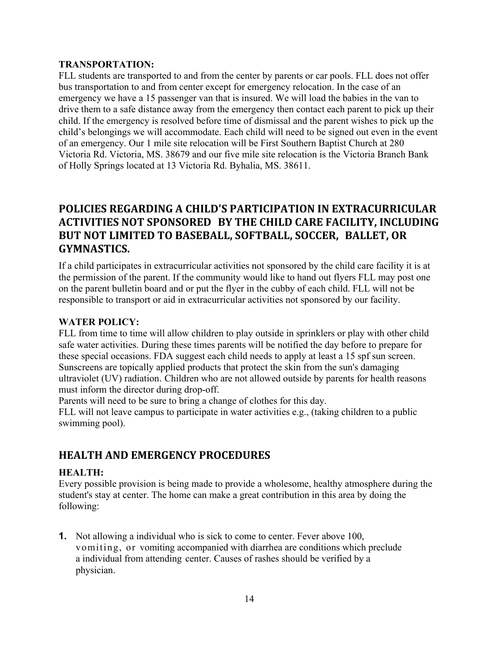#### **TRANSPORTATION:**

FLL students are transported to and from the center by parents or car pools. FLL does not offer bus transportation to and from center except for emergency relocation. In the case of an emergency we have a 15 passenger van that is insured. We will load the babies in the van to drive them to a safe distance away from the emergency then contact each parent to pick up their child. If the emergency is resolved before time of dismissal and the parent wishes to pick up the child's belongings we will accommodate. Each child will need to be signed out even in the event of an emergency. Our 1 mile site relocation will be First Southern Baptist Church at 280 Victoria Rd. Victoria, MS. 38679 and our five mile site relocation is the Victoria Branch Bank of Holly Springs located at 13 Victoria Rd. Byhalia, MS. 38611.

# **POLICIES REGARDING A CHILD'S PARTICIPATION IN EXTRACURRICULAR ACTIVITIES NOT SPONSORED BY THE CHILD CARE FACILITY, INCLUDING BUT NOT LIMITED TO BASEBALL, SOFTBALL, SOCCER, BALLET, OR GYMNASTICS.**

If a child participates in extracurricular activities not sponsored by the child care facility it is at the permission of the parent. If the community would like to hand out flyers FLL may post one on the parent bulletin board and or put the flyer in the cubby of each child. FLL will not be responsible to transport or aid in extracurricular activities not sponsored by our facility.

#### **WATER POLICY:**

FLL from time to time will allow children to play outside in sprinklers or play with other child safe water activities. During these times parents will be notified the day before to prepare for these special occasions. FDA suggest each child needs to apply at least a 15 spf sun screen. Sunscreens are topically applied products that protect the skin from the sun's damaging ultraviolet (UV) radiation. Children who are not allowed outside by parents for health reasons must inform the director during drop-off.

Parents will need to be sure to bring a change of clothes for this day.

FLL will not leave campus to participate in water activities e.g., (taking children to a public swimming pool).

# **HEALTH AND EMERGENCY PROCEDURES**

#### **HEALTH:**

Every possible provision is being made to provide a wholesome, healthy atmosphere during the student's stay at center. The home can make a great contribution in this area by doing the following:

**1.** Not allowing a individual who is sick to come to center. Fever above 100, vomiting, or vomiting accompanied with diarrhea are conditions which preclude a individual from attending center. Causes of rashes should be verified by a physician.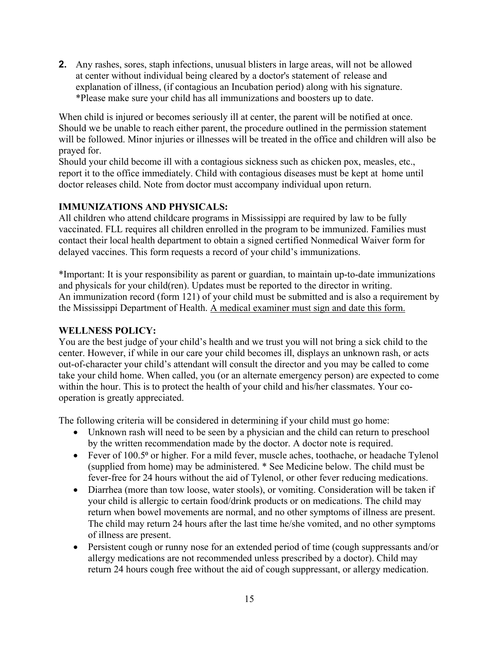**2.** Any rashes, sores, staph infections, unusual blisters in large areas, will not be allowed at center without individual being cleared by a doctor's statement of release and explanation of illness, (if contagious an Incubation period) along with his signature. \*Please make sure your child has all immunizations and boosters up to date.

When child is injured or becomes seriously ill at center, the parent will be notified at once. Should we be unable to reach either parent, the procedure outlined in the permission statement will be followed. Minor injuries or illnesses will be treated in the office and children will also be prayed for.

Should your child become ill with a contagious sickness such as chicken pox, measles, etc., report it to the office immediately. Child with contagious diseases must be kept at home until doctor releases child. Note from doctor must accompany individual upon return.

#### **IMMUNIZATIONS AND PHYSICALS:**

All children who attend childcare programs in Mississippi are required by law to be fully vaccinated. FLL requires all children enrolled in the program to be immunized. Families must contact their local health department to obtain a signed certified Nonmedical Waiver form for delayed vaccines. This form requests a record of your child's immunizations.

\*Important: It is your responsibility as parent or guardian, to maintain up-to-date immunizations and physicals for your child(ren). Updates must be reported to the director in writing. An immunization record (form 121) of your child must be submitted and is also a requirement by the Mississippi Department of Health. A medical examiner must sign and date this form.

#### **WELLNESS POLICY:**

You are the best judge of your child's health and we trust you will not bring a sick child to the center. However, if while in our care your child becomes ill, displays an unknown rash, or acts out-of-character your child's attendant will consult the director and you may be called to come take your child home. When called, you (or an alternate emergency person) are expected to come within the hour. This is to protect the health of your child and his/her classmates. Your cooperation is greatly appreciated.

The following criteria will be considered in determining if your child must go home:

- Unknown rash will need to be seen by a physician and the child can return to preschool by the written recommendation made by the doctor. A doctor note is required.
- Fever of 100.5<sup>°</sup> or higher. For a mild fever, muscle aches, toothache, or headache Tylenol (supplied from home) may be administered. \* See Medicine below. The child must be fever-free for 24 hours without the aid of Tylenol, or other fever reducing medications.
- Diarrhea (more than tow loose, water stools), or vomiting. Consideration will be taken if your child is allergic to certain food/drink products or on medications. The child may return when bowel movements are normal, and no other symptoms of illness are present. The child may return 24 hours after the last time he/she vomited, and no other symptoms of illness are present.
- Persistent cough or runny nose for an extended period of time (cough suppressants and/or allergy medications are not recommended unless prescribed by a doctor). Child may return 24 hours cough free without the aid of cough suppressant, or allergy medication.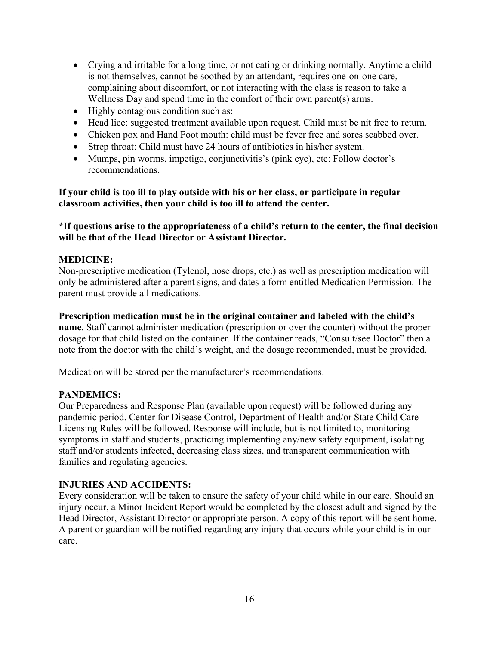- Crying and irritable for a long time, or not eating or drinking normally. Anytime a child is not themselves, cannot be soothed by an attendant, requires one-on-one care, complaining about discomfort, or not interacting with the class is reason to take a Wellness Day and spend time in the comfort of their own parent(s) arms.
- Highly contagious condition such as:
- Head lice: suggested treatment available upon request. Child must be nit free to return.
- Chicken pox and Hand Foot mouth: child must be fever free and sores scabbed over.
- Strep throat: Child must have 24 hours of antibiotics in his/her system.
- Mumps, pin worms, impetigo, conjunctivitis's (pink eye), etc: Follow doctor's recommendations.

**If your child is too ill to play outside with his or her class, or participate in regular classroom activities, then your child is too ill to attend the center.** 

#### **\*If questions arise to the appropriateness of a child's return to the center, the final decision will be that of the Head Director or Assistant Director.**

#### **MEDICINE:**

Non-prescriptive medication (Tylenol, nose drops, etc.) as well as prescription medication will only be administered after a parent signs, and dates a form entitled Medication Permission. The parent must provide all medications.

**Prescription medication must be in the original container and labeled with the child's** 

**name.** Staff cannot administer medication (prescription or over the counter) without the proper dosage for that child listed on the container. If the container reads, "Consult/see Doctor" then a note from the doctor with the child's weight, and the dosage recommended, must be provided.

Medication will be stored per the manufacturer's recommendations.

#### **PANDEMICS:**

Our Preparedness and Response Plan (available upon request) will be followed during any pandemic period. Center for Disease Control, Department of Health and/or State Child Care Licensing Rules will be followed. Response will include, but is not limited to, monitoring symptoms in staff and students, practicing implementing any/new safety equipment, isolating staff and/or students infected, decreasing class sizes, and transparent communication with families and regulating agencies.

#### **INJURIES AND ACCIDENTS:**

Every consideration will be taken to ensure the safety of your child while in our care. Should an injury occur, a Minor Incident Report would be completed by the closest adult and signed by the Head Director, Assistant Director or appropriate person. A copy of this report will be sent home. A parent or guardian will be notified regarding any injury that occurs while your child is in our care.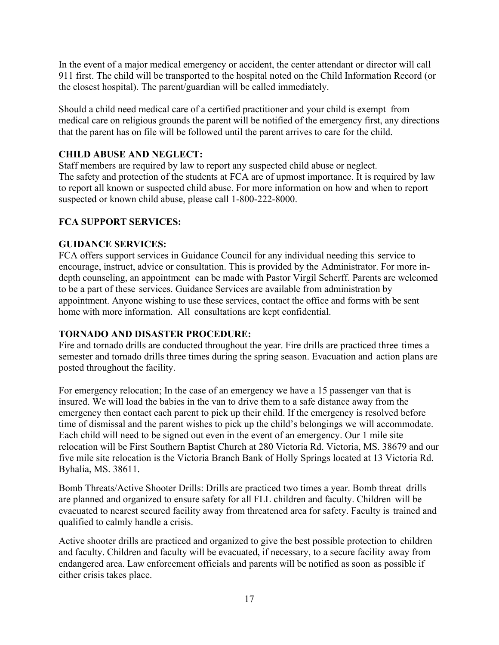In the event of a major medical emergency or accident, the center attendant or director will call 911 first. The child will be transported to the hospital noted on the Child Information Record (or the closest hospital). The parent/guardian will be called immediately.

Should a child need medical care of a certified practitioner and your child is exempt from medical care on religious grounds the parent will be notified of the emergency first, any directions that the parent has on file will be followed until the parent arrives to care for the child.

#### **CHILD ABUSE AND NEGLECT:**

Staff members are required by law to report any suspected child abuse or neglect. The safety and protection of the students at FCA are of upmost importance. It is required by law to report all known or suspected child abuse. For more information on how and when to report suspected or known child abuse, please call 1-800-222-8000.

#### **FCA SUPPORT SERVICES:**

#### **GUIDANCE SERVICES:**

FCA offers support services in Guidance Council for any individual needing this service to encourage, instruct, advice or consultation. This is provided by the Administrator. For more indepth counseling, an appointment can be made with Pastor Virgil Scherff. Parents are welcomed to be a part of these services. Guidance Services are available from administration by appointment. Anyone wishing to use these services, contact the office and forms with be sent home with more information. All consultations are kept confidential.

#### **TORNADO AND DISASTER PROCEDURE:**

Fire and tornado drills are conducted throughout the year. Fire drills are practiced three times a semester and tornado drills three times during the spring season. Evacuation and action plans are posted throughout the facility.

For emergency relocation; In the case of an emergency we have a 15 passenger van that is insured. We will load the babies in the van to drive them to a safe distance away from the emergency then contact each parent to pick up their child. If the emergency is resolved before time of dismissal and the parent wishes to pick up the child's belongings we will accommodate. Each child will need to be signed out even in the event of an emergency. Our 1 mile site relocation will be First Southern Baptist Church at 280 Victoria Rd. Victoria, MS. 38679 and our five mile site relocation is the Victoria Branch Bank of Holly Springs located at 13 Victoria Rd. Byhalia, MS. 38611.

Bomb Threats/Active Shooter Drills: Drills are practiced two times a year. Bomb threat drills are planned and organized to ensure safety for all FLL children and faculty. Children will be evacuated to nearest secured facility away from threatened area for safety. Faculty is trained and qualified to calmly handle a crisis.

Active shooter drills are practiced and organized to give the best possible protection to children and faculty. Children and faculty will be evacuated, if necessary, to a secure facility away from endangered area. Law enforcement officials and parents will be notified as soon as possible if either crisis takes place.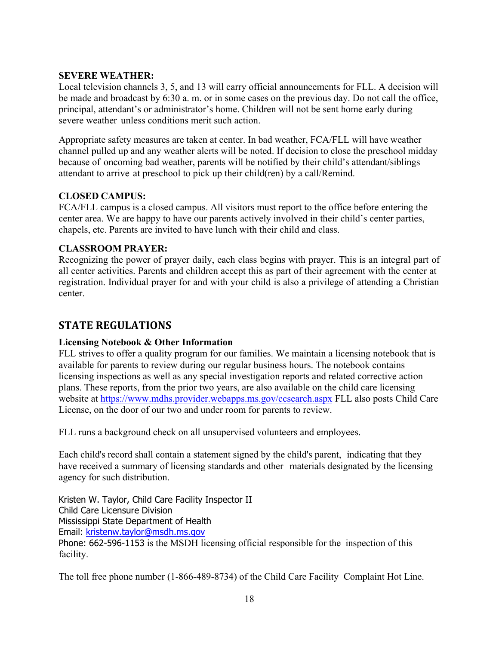#### **SEVERE WEATHER:**

Local television channels 3, 5, and 13 will carry official announcements for FLL. A decision will be made and broadcast by 6:30 a. m. or in some cases on the previous day. Do not call the office, principal, attendant's or administrator's home. Children will not be sent home early during severe weather unless conditions merit such action.

Appropriate safety measures are taken at center. In bad weather, FCA/FLL will have weather channel pulled up and any weather alerts will be noted. If decision to close the preschool midday because of oncoming bad weather, parents will be notified by their child's attendant/siblings attendant to arrive at preschool to pick up their child(ren) by a call/Remind.

#### **CLOSED CAMPUS:**

FCA/FLL campus is a closed campus. All visitors must report to the office before entering the center area. We are happy to have our parents actively involved in their child's center parties, chapels, etc. Parents are invited to have lunch with their child and class.

#### **CLASSROOM PRAYER:**

Recognizing the power of prayer daily, each class begins with prayer. This is an integral part of all center activities. Parents and children accept this as part of their agreement with the center at registration. Individual prayer for and with your child is also a privilege of attending a Christian center.

# **STATE REGULATIONS**

#### **Licensing Notebook & Other Information**

FLL strives to offer a quality program for our families. We maintain a licensing notebook that is available for parents to review during our regular business hours. The notebook contains licensing inspections as well as any special investigation reports and related corrective action plans. These reports, from the prior two years, are also available on the child care licensing website at https://www.mdhs.provider.webapps.ms.gov/ccsearch.aspx FLL also posts Child Care License, on the door of our two and under room for parents to review.

FLL runs a background check on all unsupervised volunteers and employees.

Each child's record shall contain a statement signed by the child's parent, indicating that they have received a summary of licensing standards and other materials designated by the licensing agency for such distribution.

Kristen W. Taylor, Child Care Facility Inspector II Child Care Licensure Division Mississippi State Department of Health Email: kristenw.taylor@msdh.ms.gov Phone: 662-596-1153 is the MSDH licensing official responsible for the inspection of this facility.

The toll free phone number (1-866-489-8734) of the Child Care Facility Complaint Hot Line.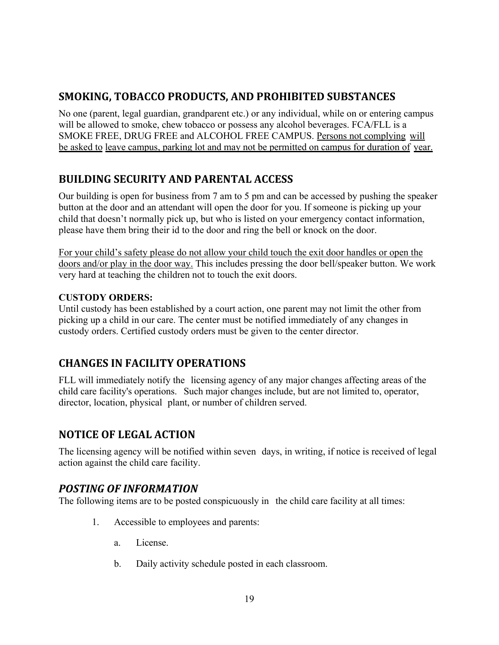# **SMOKING, TOBACCO PRODUCTS, AND PROHIBITED SUBSTANCES**

No one (parent, legal guardian, grandparent etc.) or any individual, while on or entering campus will be allowed to smoke, chew tobacco or possess any alcohol beverages. FCA/FLL is a SMOKE FREE, DRUG FREE and ALCOHOL FREE CAMPUS. Persons not complying will be asked to leave campus, parking lot and may not be permitted on campus for duration of year.

# **BUILDING SECURITY AND PARENTAL ACCESS**

Our building is open for business from 7 am to 5 pm and can be accessed by pushing the speaker button at the door and an attendant will open the door for you. If someone is picking up your child that doesn't normally pick up, but who is listed on your emergency contact information, please have them bring their id to the door and ring the bell or knock on the door.

For your child's safety please do not allow your child touch the exit door handles or open the doors and/or play in the door way. This includes pressing the door bell/speaker button. We work very hard at teaching the children not to touch the exit doors.

#### **CUSTODY ORDERS:**

Until custody has been established by a court action, one parent may not limit the other from picking up a child in our care. The center must be notified immediately of any changes in custody orders. Certified custody orders must be given to the center director.

# **CHANGES IN FACILITY OPERATIONS**

FLL will immediately notify the licensing agency of any major changes affecting areas of the child care facility's operations. Such major changes include, but are not limited to, operator, director, location, physical plant, or number of children served.

# **NOTICE OF LEGAL ACTION**

The licensing agency will be notified within seven days, in writing, if notice is received of legal action against the child care facility.

#### *POSTING OF INFORMATION*

The following items are to be posted conspicuously in the child care facility at all times:

- 1. Accessible to employees and parents:
	- a. License.
	- b. Daily activity schedule posted in each classroom.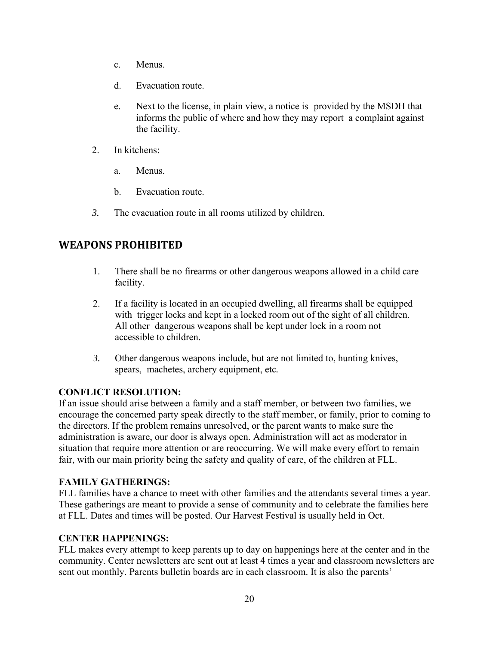- c. Menus.
- d. Evacuation route.
- e. Next to the license, in plain view, a notice is provided by the MSDH that informs the public of where and how they may report a complaint against the facility.
- 2. In kitchens:
	- a. Menus.
	- b. Evacuation route.
- *3.* The evacuation route in all rooms utilized by children.

# **WEAPONS PROHIBITED**

- 1. There shall be no firearms or other dangerous weapons allowed in a child care facility.
- 2. If a facility is located in an occupied dwelling, all firearms shall be equipped with trigger locks and kept in a locked room out of the sight of all children. All other dangerous weapons shall be kept under lock in a room not accessible to children.
- *3.* Other dangerous weapons include, but are not limited to, hunting knives, spears, machetes, archery equipment, etc*.*

#### **CONFLICT RESOLUTION:**

If an issue should arise between a family and a staff member, or between two families, we encourage the concerned party speak directly to the staff member, or family, prior to coming to the directors. If the problem remains unresolved, or the parent wants to make sure the administration is aware, our door is always open. Administration will act as moderator in situation that require more attention or are reoccurring. We will make every effort to remain fair, with our main priority being the safety and quality of care, of the children at FLL.

#### **FAMILY GATHERINGS:**

FLL families have a chance to meet with other families and the attendants several times a year. These gatherings are meant to provide a sense of community and to celebrate the families here at FLL. Dates and times will be posted. Our Harvest Festival is usually held in Oct.

#### **CENTER HAPPENINGS:**

FLL makes every attempt to keep parents up to day on happenings here at the center and in the community. Center newsletters are sent out at least 4 times a year and classroom newsletters are sent out monthly. Parents bulletin boards are in each classroom. It is also the parents'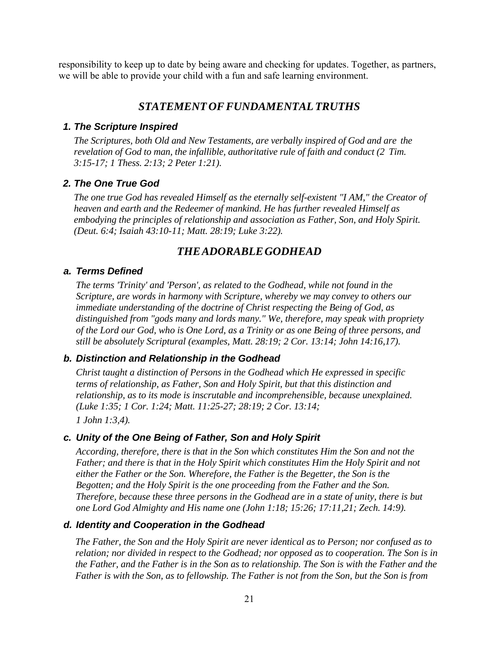responsibility to keep up to date by being aware and checking for updates. Together, as partners, we will be able to provide your child with a fun and safe learning environment.

#### *STATEMENT OF FUNDAMENTAL TRUTHS*

#### *1. The Scripture Inspired*

*The Scriptures, both Old and New Testaments, are verbally inspired of God and are the revelation of God to man, the infallible, authoritative rule of faith and conduct (2 Tim. 3:15-17; 1 Thess. 2:13; 2 Peter 1:21).*

#### *2. The One True God*

*The one true God has revealed Himself as the eternally self-existent "I AM," the Creator of heaven and earth and the Redeemer of mankind. He has further revealed Himself as embodying the principles of relationship and association as Father, Son, and Holy Spirit. (Deut. 6:4; Isaiah 43:10-11; Matt. 28:19; Luke 3:22).*

#### *THE ADORABLE GODHEAD*

#### *a. Terms Defined*

*The terms 'Trinity' and 'Person', as related to the Godhead, while not found in the Scripture, are words in harmony with Scripture, whereby we may convey to others our immediate understanding of the doctrine of Christ respecting the Being of God, as distinguished from "gods many and lords many." We, therefore, may speak with propriety of the Lord our God, who is One Lord, as a Trinity or as one Being of three persons, and still be absolutely Scriptural (examples, Matt. 28:19; 2 Cor. 13:14; John 14:16,17).*

#### *b. Distinction and Relationship in the Godhead*

*Christ taught a distinction of Persons in the Godhead which He expressed in specific terms of relationship, as Father, Son and Holy Spirit, but that this distinction and relationship, as to its mode is inscrutable and incomprehensible, because unexplained. (Luke 1:35; 1 Cor. 1:24; Matt. 11:25-27; 28:19; 2 Cor. 13:14;*

*1 John 1:3,4).*

#### *c. Unity of the One Being of Father, Son and Holy Spirit*

*According, therefore, there is that in the Son which constitutes Him the Son and not the Father; and there is that in the Holy Spirit which constitutes Him the Holy Spirit and not either the Father or the Son. Wherefore, the Father is the Begetter, the Son is the Begotten; and the Holy Spirit is the one proceeding from the Father and the Son. Therefore, because these three persons in the Godhead are in a state of unity, there is but one Lord God Almighty and His name one (John 1:18; 15:26; 17:11,21; Zech. 14:9).*

#### *d. Identity and Cooperation in the Godhead*

*The Father, the Son and the Holy Spirit are never identical as to Person; nor confused as to relation; nor divided in respect to the Godhead; nor opposed as to cooperation. The Son is in the Father, and the Father is in the Son as to relationship. The Son is with the Father and the Father is with the Son, as to fellowship. The Father is not from the Son, but the Son is from*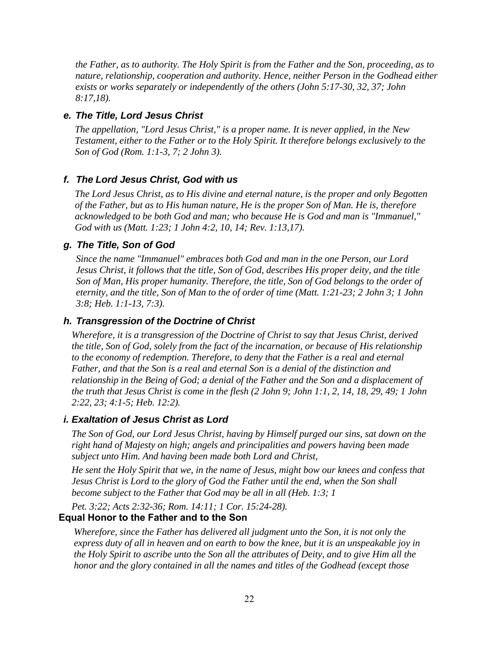*the Father, as to authority. The Holy Spirit is from the Father and the Son, proceeding, as to nature, relationship, cooperation and authority. Hence, neither Person in the Godhead either exists or works separately or independently of the others (John 5:17-30, 32, 37; John 8:17,18).*

#### *e. The Title, Lord Jesus Christ*

*The appellation, "Lord Jesus Christ," is a proper name. It is never applied, in the New Testament, either to the Father or to the Holy Spirit. It therefore belongs exclusively to the Son of God (Rom. 1:1-3, 7; 2 John 3).*

#### *f. The Lord Jesus Christ, God with us*

*The Lord Jesus Christ, as to His divine and eternal nature, is the proper and only Begotten of the Father, but as to His human nature, He is the proper Son of Man. He is, therefore acknowledged to be both God and man; who because He is God and man is "Immanuel," God with us (Matt. 1:23; 1 John 4:2, 10, 14; Rev. 1:13,17).*

#### *g. The Title, Son of God*

*Since the name "Immanuel" embraces both God and man in the one Person, our Lord Jesus Christ, it follows that the title, Son of God, describes His proper deity, and the title Son of Man, His proper humanity. Therefore, the title, Son of God belongs to the order of eternity, and the title, Son of Man to the of order of time (Matt. 1:21-23; 2 John 3; 1 John 3:8; Heb. 1:1-13, 7:3).*

#### *h. Transgression of the Doctrine of Christ*

*Wherefore, it is a transgression of the Doctrine of Christ to say that Jesus Christ, derived the title, Son of God, solely from the fact of the incarnation, or because of His relationship to the economy of redemption. Therefore, to deny that the Father is a real and eternal Father, and that the Son is a real and eternal Son is a denial of the distinction and relationship in the Being of God; a denial of the Father and the Son and a displacement of the truth that Jesus Christ is come in the flesh (2 John 9; John 1:1, 2, 14, 18, 29, 49; 1 John 2:22, 23; 4:1-5; Heb. 12:2).* 

#### *i. Exaltation of Jesus Christ as Lord*

*The Son of God, our Lord Jesus Christ, having by Himself purged our sins, sat down on the right hand of Majesty on high; angels and principalities and powers having been made subject unto Him. And having been made both Lord and Christ,*

*He sent the Holy Spirit that we, in the name of Jesus, might bow our knees and confess that Jesus Christ is Lord to the glory of God the Father until the end, when the Son shall become subject to the Father that God may be all in all (Heb. 1:3; 1*

*Pet. 3:22; Acts 2:32-36; Rom. 14:11; 1 Cor. 15:24-28).*

#### **Equal Honor to the Father and to the Son**

*Wherefore, since the Father has delivered all judgment unto the Son, it is not only the express duty of all in heaven and on earth to bow the knee, but it is an unspeakable joy in the Holy Spirit to ascribe unto the Son all the attributes of Deity, and to give Him all the honor and the glory contained in all the names and titles of the Godhead (except those*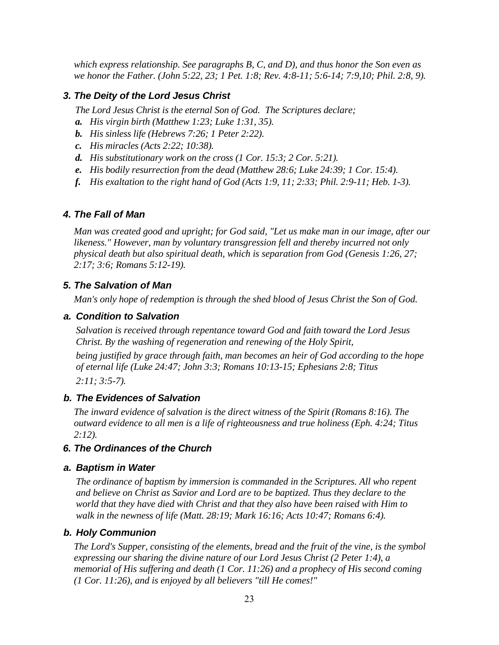*which express relationship. See paragraphs B, C, and D), and thus honor the Son even as we honor the Father. (John 5:22, 23; 1 Pet. 1:8; Rev. 4:8-11; 5:6-14; 7:9,10; Phil. 2:8, 9).* 

#### *3. The Deity of the Lord Jesus Christ*

*The Lord Jesus Christ is the eternal Son of God. The Scriptures declare;*

- *a. His virgin birth (Matthew 1:23; Luke 1:31, 35).*
- *b. His sinless life (Hebrews 7:26; 1 Peter 2:22).*
- *c. His miracles (Acts 2:22; 10:38).*
- *d. His substitutionary work on the cross (1 Cor. 15:3; 2 Cor. 5:21).*
- *e. His bodily resurrection from the dead (Matthew 28:6; Luke 24:39; 1 Cor. 15:4).*
- *f. His exaltation to the right hand of God (Acts 1:9, 11; 2:33; Phil. 2:9-11; Heb. 1-3).*

#### *4. The Fall of Man*

*Man was created good and upright; for God said, "Let us make man in our image, after our likeness." However, man by voluntary transgression fell and thereby incurred not only physical death but also spiritual death, which is separation from God (Genesis 1:26, 27; 2:17; 3:6; Romans 5:12-19).*

#### *5. The Salvation of Man*

*Man's only hope of redemption is through the shed blood of Jesus Christ the Son of God.*

#### *a. Condition to Salvation*

*Salvation is received through repentance toward God and faith toward the Lord Jesus Christ. By the washing of regeneration and renewing of the Holy Spirit,*

*being justified by grace through faith, man becomes an heir of God according to the hope of eternal life (Luke 24:47; John 3:3; Romans 10:13-15; Ephesians 2:8; Titus 2:11; 3:5-7).*

#### *b. The Evidences of Salvation*

*The inward evidence of salvation is the direct witness of the Spirit (Romans 8:16). The outward evidence to all men is a life of righteousness and true holiness (Eph. 4:24; Titus 2:12).*

#### *6. The Ordinances of the Church*

#### *a. Baptism in Water*

*The ordinance of baptism by immersion is commanded in the Scriptures. All who repent and believe on Christ as Savior and Lord are to be baptized. Thus they declare to the world that they have died with Christ and that they also have been raised with Him to walk in the newness of life (Matt. 28:19; Mark 16:16; Acts 10:47; Romans 6:4).*

#### *b. Holy Communion*

*The Lord's Supper, consisting of the elements, bread and the fruit of the vine, is the symbol expressing our sharing the divine nature of our Lord Jesus Christ (2 Peter 1:4), a memorial of His suffering and death (1 Cor. 11:26) and a prophecy of His second coming (1 Cor. 11:26), and is enjoyed by all believers "till He comes!"*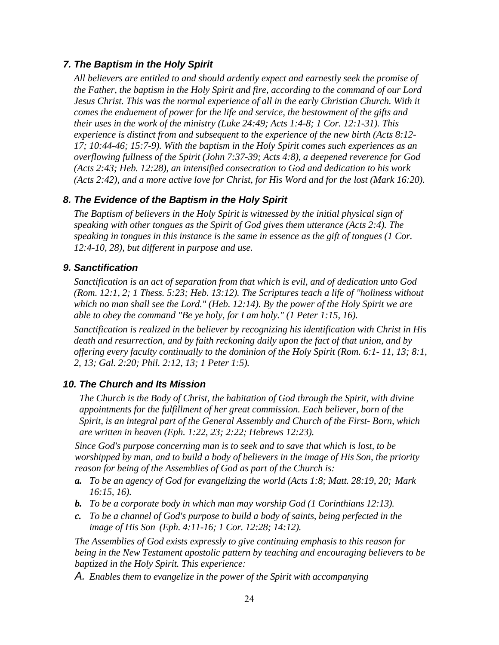#### *7. The Baptism in the Holy Spirit*

*All believers are entitled to and should ardently expect and earnestly seek the promise of the Father, the baptism in the Holy Spirit and fire, according to the command of our Lord Jesus Christ. This was the normal experience of all in the early Christian Church. With it comes the enduement of power for the life and service, the bestowment of the gifts and their uses in the work of the ministry (Luke 24:49; Acts 1:4-8; 1 Cor. 12:1-31). This experience is distinct from and subsequent to the experience of the new birth (Acts 8:12- 17; 10:44-46; 15:7-9). With the baptism in the Holy Spirit comes such experiences as an overflowing fullness of the Spirit (John 7:37-39; Acts 4:8), a deepened reverence for God (Acts 2:43; Heb. 12:28), an intensified consecration to God and dedication to his work (Acts 2:42), and a more active love for Christ, for His Word and for the lost (Mark 16:20).*

#### *8. The Evidence of the Baptism in the Holy Spirit*

*The Baptism of believers in the Holy Spirit is witnessed by the initial physical sign of speaking with other tongues as the Spirit of God gives them utterance (Acts 2:4). The speaking in tongues in this instance is the same in essence as the gift of tongues (1 Cor. 12:4-10, 28), but different in purpose and use.*

#### *9. Sanctification*

*Sanctification is an act of separation from that which is evil, and of dedication unto God (Rom. 12:1, 2; 1 Thess. 5:23; Heb. 13:12). The Scriptures teach a life of "holiness without which no man shall see the Lord." (Heb. 12:14). By the power of the Holy Spirit we are able to obey the command "Be ye holy, for I am holy." (1 Peter 1:15, 16).*

*Sanctification is realized in the believer by recognizing his identification with Christ in His death and resurrection, and by faith reckoning daily upon the fact of that union, and by offering every faculty continually to the dominion of the Holy Spirit (Rom. 6:1- 11, 13; 8:1, 2, 13; Gal. 2:20; Phil. 2:12, 13; 1 Peter 1:5).*

#### *10. The Church and Its Mission*

*The Church is the Body of Christ, the habitation of God through the Spirit, with divine appointments for the fulfillment of her great commission. Each believer, born of the Spirit, is an integral part of the General Assembly and Church of the First- Born, which are written in heaven (Eph. 1:22, 23; 2:22; Hebrews 12:23).*

*Since God's purpose concerning man is to seek and to save that which is lost, to be worshipped by man, and to build a body of believers in the image of His Son, the priority reason for being of the Assemblies of God as part of the Church is:* 

- *a. To be an agency of God for evangelizing the world (Acts 1:8; Matt. 28:19, 20; Mark 16:15, 16).*
- *b. To be a corporate body in which man may worship God (1 Corinthians 12:13).*
- *c. To be a channel of God's purpose to build a body of saints, being perfected in the image of His Son (Eph. 4:11-16; 1 Cor. 12:28; 14:12).*

*The Assemblies of God exists expressly to give continuing emphasis to this reason for being in the New Testament apostolic pattern by teaching and encouraging believers to be baptized in the Holy Spirit. This experience:* 

*A. Enables them to evangelize in the power of the Spirit with accompanying*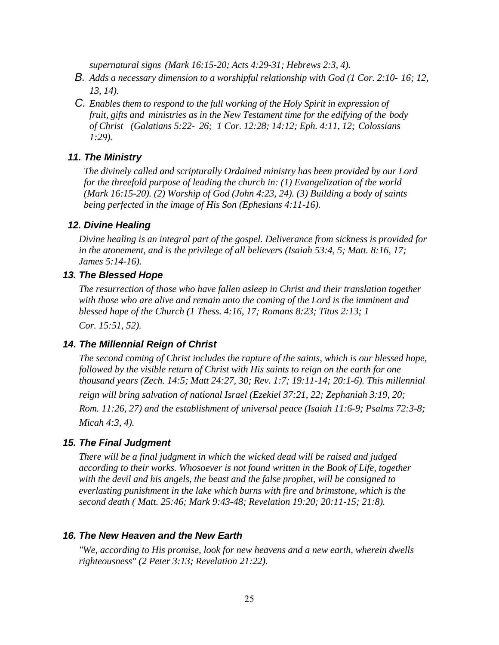*supernatural signs (Mark 16:15-20; Acts 4:29-31; Hebrews 2:3, 4).* 

- *B. Adds a necessary dimension to a worshipful relationship with God (1 Cor. 2:10- 16; 12, 13, 14).*
- *C. Enables them to respond to the full working of the Holy Spirit in expression of fruit, gifts and ministries as in the New Testament time for the edifying of the body of Christ (Galatians 5:22- 26; 1 Cor. 12:28; 14:12; Eph. 4:11, 12; Colossians 1:29).*

#### *11. The Ministry*

*The divinely called and scripturally Ordained ministry has been provided by our Lord for the threefold purpose of leading the church in: (1) Evangelization of the world (Mark 16:15-20). (2) Worship of God (John 4:23, 24). (3) Building a body of saints being perfected in the image of His Son (Ephesians 4:11-16).*

#### *12. Divine Healing*

*Divine healing is an integral part of the gospel. Deliverance from sickness is provided for in the atonement, and is the privilege of all believers (Isaiah 53:4, 5; Matt. 8:16, 17; James 5:14-16).* 

#### *13. The Blessed Hope*

*The resurrection of those who have fallen asleep in Christ and their translation together with those who are alive and remain unto the coming of the Lord is the imminent and blessed hope of the Church (1 Thess. 4:16, 17; Romans 8:23; Titus 2:13; 1 Cor. 15:51, 52).*

#### *14. The Millennial Reign of Christ*

*The second coming of Christ includes the rapture of the saints, which is our blessed hope, followed by the visible return of Christ with His saints to reign on the earth for one thousand years (Zech. 14:5; Matt 24:27, 30; Rev. 1:7; 19:11-14; 20:1-6). This millennial reign will bring salvation of national Israel (Ezekiel 37:21, 22; Zephaniah 3:19, 20; Rom. 11:26, 27) and the establishment of universal peace (Isaiah 11:6-9; Psalms 72:3-8; Micah 4:3, 4).*

#### *15. The Final Judgment*

*There will be a final judgment in which the wicked dead will be raised and judged according to their works. Whosoever is not found written in the Book of Life, together with the devil and his angels, the beast and the false prophet, will be consigned to everlasting punishment in the lake which burns with fire and brimstone, which is the second death ( Matt. 25:46; Mark 9:43-48; Revelation 19:20; 20:11-15; 21:8).*

#### *16. The New Heaven and the New Earth*

*"We, according to His promise, look for new heavens and a new earth, wherein dwells righteousness" (2 Peter 3:13; Revelation 21:22).*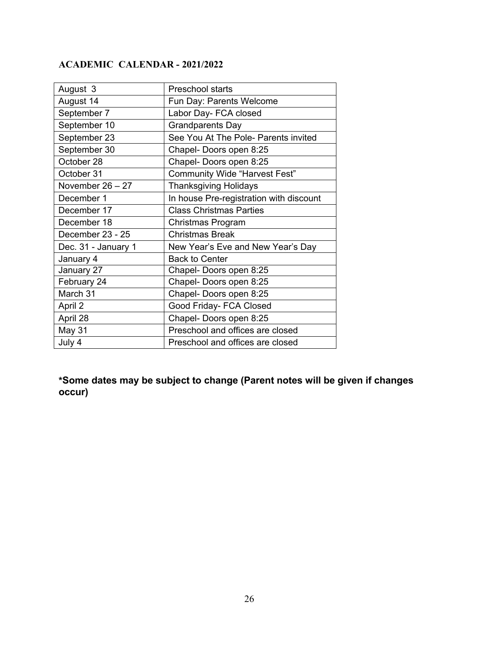# **ACADEMIC CALENDAR - 2021/2022**

| August 3            | Preschool starts                        |
|---------------------|-----------------------------------------|
| August 14           | Fun Day: Parents Welcome                |
| September 7         | Labor Day- FCA closed                   |
| September 10        | <b>Grandparents Day</b>                 |
| September 23        | See You At The Pole- Parents invited    |
| September 30        | Chapel- Doors open 8:25                 |
| October 28          | Chapel- Doors open 8:25                 |
| October 31          | <b>Community Wide "Harvest Fest"</b>    |
| November $26 - 27$  | <b>Thanksgiving Holidays</b>            |
| December 1          | In house Pre-registration with discount |
| December 17         | <b>Class Christmas Parties</b>          |
| December 18         | Christmas Program                       |
| December 23 - 25    | <b>Christmas Break</b>                  |
| Dec. 31 - January 1 | New Year's Eve and New Year's Day       |
| January 4           | <b>Back to Center</b>                   |
| January 27          | Chapel- Doors open 8:25                 |
| February 24         | Chapel- Doors open 8:25                 |
| March 31            | Chapel- Doors open 8:25                 |
| April 2             | Good Friday- FCA Closed                 |
| April 28            | Chapel- Doors open 8:25                 |
| May 31              | Preschool and offices are closed        |
| July 4              | Preschool and offices are closed        |

**\*Some dates may be subject to change (Parent notes will be given if changes occur)**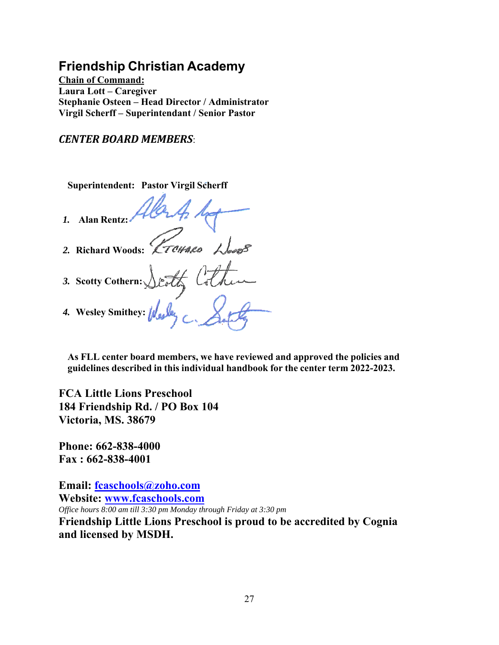# **Friendship Christian Academy**

**Chain of Command: Laura Lott – Caregiver Stephanie Osteen – Head Director / Administrator Virgil Scherff – Superintendant / Senior Pastor** 

*CENTER BOARD MEMBERS*:

**Superintendent: Pastor Virgil Scherff**

*1.* **Alan Rentz:**

*2.* **Richard Woods:**

- *3.* **Scotty Cothern:**
- *4.* **Wesley Smithey:**

**As FLL center board members, we have reviewed and approved the policies and guidelines described in this individual handbook for the center term 2022-2023.**

**FCA Little Lions Preschool 184 Friendship Rd. / PO Box 104 Victoria, MS. 38679** 

**Phone: 662-838-4000 Fax : 662-838-4001** 

**Email: fcaschools@zoho.com Website: www.fcaschools.com** *Office hours 8:00 am till 3:30 pm Monday through Friday at 3:30 pm* **Friendship Little Lions Preschool is proud to be accredited by Cognia and licensed by MSDH.**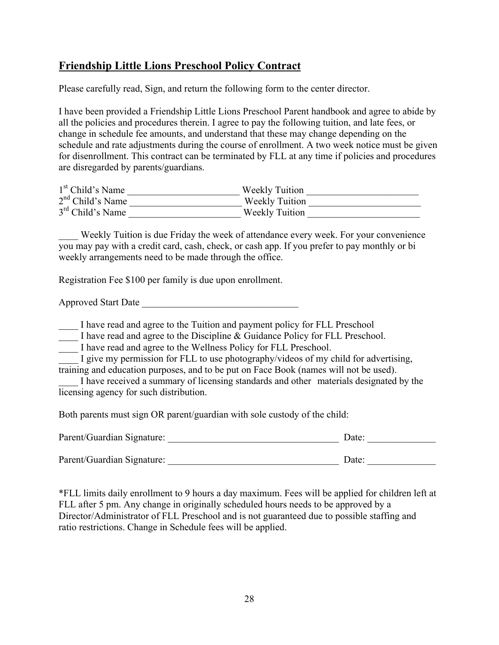# **Friendship Little Lions Preschool Policy Contract**

Please carefully read, Sign, and return the following form to the center director.

I have been provided a Friendship Little Lions Preschool Parent handbook and agree to abide by all the policies and procedures therein. I agree to pay the following tuition, and late fees, or change in schedule fee amounts, and understand that these may change depending on the schedule and rate adjustments during the course of enrollment. A two week notice must be given for disenrollment. This contract can be terminated by FLL at any time if policies and procedures are disregarded by parents/guardians.

| $1st$ Child's Name           | <b>Weekly Tuition</b> |
|------------------------------|-----------------------|
| $2nd$ Child's Name           | <b>Weekly Tuition</b> |
| 3 <sup>rd</sup> Child's Name | <b>Weekly Tuition</b> |

Weekly Tuition is due Friday the week of attendance every week. For your convenience you may pay with a credit card, cash, check, or cash app. If you prefer to pay monthly or bi weekly arrangements need to be made through the office.

Registration Fee \$100 per family is due upon enrollment.

Approved Start Date \_\_\_\_\_\_\_\_\_\_\_\_\_\_\_\_\_\_\_\_\_\_\_\_\_\_\_\_\_\_\_\_

I have read and agree to the Tuition and payment policy for FLL Preschool

I have read and agree to the Discipline & Guidance Policy for FLL Preschool.

\_\_\_\_ I have read and agree to the Wellness Policy for FLL Preschool.

I give my permission for FLL to use photography/videos of my child for advertising, training and education purposes, and to be put on Face Book (names will not be used).

I have received a summary of licensing standards and other materials designated by the licensing agency for such distribution.

Both parents must sign OR parent/guardian with sole custody of the child:

| Parent/Guardian Signature: | Date: |
|----------------------------|-------|
| Parent/Guardian Signature: | Date: |

\*FLL limits daily enrollment to 9 hours a day maximum. Fees will be applied for children left at FLL after 5 pm. Any change in originally scheduled hours needs to be approved by a Director/Administrator of FLL Preschool and is not guaranteed due to possible staffing and ratio restrictions. Change in Schedule fees will be applied.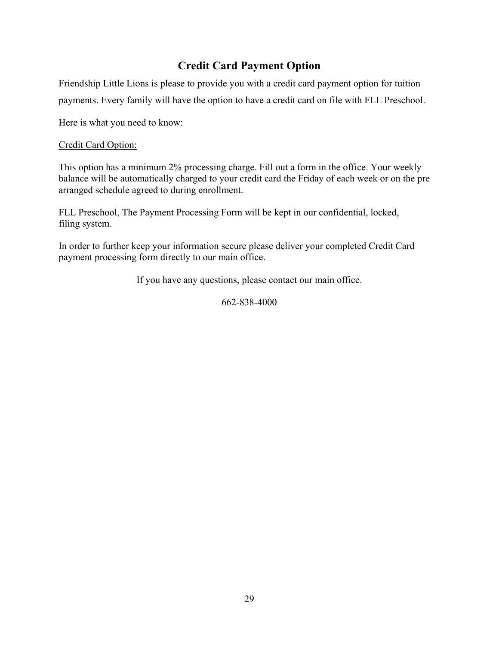# **Credit Card Payment Option**

Friendship Little Lions is please to provide you with a credit card payment option for tuition payments. Every family will have the option to have a credit card on file with FLL Preschool.

Here is what you need to know:

#### Credit Card Option:

This option has a minimum 2% processing charge. Fill out a form in the office. Your weekly balance will be automatically charged to your credit card the Friday of each week or on the pre arranged schedule agreed to during enrollment.

FLL Preschool, The Payment Processing Form will be kept in our confidential, locked, filing system.

In order to further keep your information secure please deliver your completed Credit Card payment processing form directly to our main office.

If you have any questions, please contact our main office.

662-838-4000